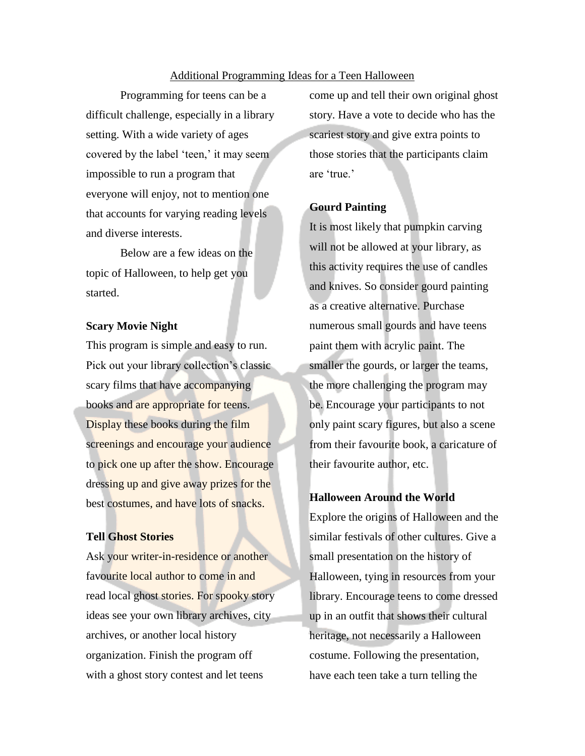#### Additional Programming Ideas for a Teen Halloween

Programming for teens can be a difficult challenge, especially in a library setting. With a wide variety of ages covered by the label 'teen,' it may seem impossible to run a program that everyone will enjoy, not to mention one that accounts for varying reading levels and diverse interests.

Below are a few ideas on the topic of Halloween, to help get you started.

### **Scary Movie Night**

This program is simple and easy to run. Pick out your library collection's classic scary films that have accompanying books and are appropriate for teens. Display these books during the film screenings and encourage your audience to pick one up after the show. Encourage dressing up and give away prizes for the best costumes, and have lots of snacks.

#### **Tell Ghost Stories**

Ask your writer-in-residence or another favourite local author to come in and read local ghost stories. For spooky story ideas see your own library archives, city archives, or another local history organization. Finish the program off with a ghost story contest and let teens

come up and tell their own original ghost story. Have a vote to decide who has the scariest story and give extra points to those stories that the participants claim are 'true.'

# **Gourd Painting**

It is most likely that pumpkin carving will not be allowed at your library, as this activity requires the use of candles and knives. So consider gourd painting as a creative alternative. Purchase numerous small gourds and have teens paint them with acrylic paint. The smaller the gourds, or larger the teams, the more challenging the program may be. Encourage your participants to not only paint scary figures, but also a scene from their favourite book, a caricature of their favourite author, etc.

## **Halloween Around the World**

Explore the origins of Halloween and the similar festivals of other cultures. Give a small presentation on the history of Halloween, tying in resources from your library. Encourage teens to come dressed up in an outfit that shows their cultural heritage, not necessarily a Halloween costume. Following the presentation, have each teen take a turn telling the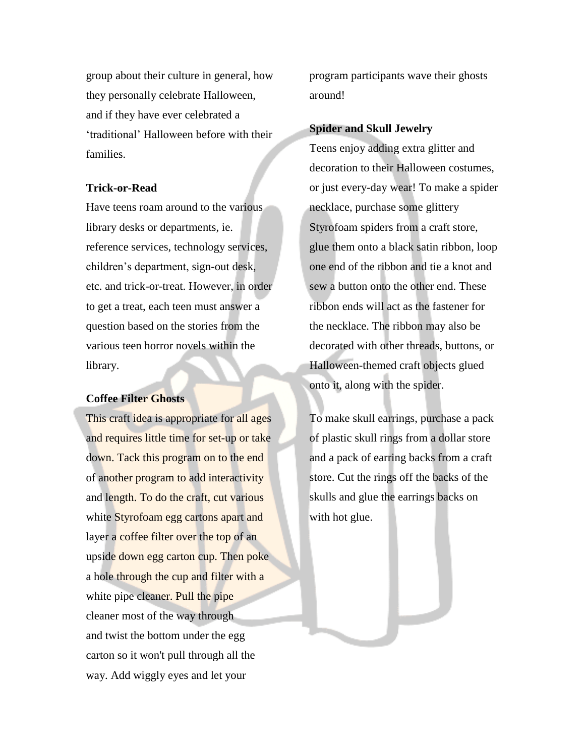group about their culture in general, how they personally celebrate Halloween, and if they have ever celebrated a 'traditional' Halloween before with their families.

## **Trick-or-Read**

Have teens roam around to the various library desks or departments, ie. reference services, technology services, children's department, sign-out desk, etc. and trick-or-treat. However, in order to get a treat, each teen must answer a question based on the stories from the various teen horror novels within the library.

# **Coffee Filter Ghosts**

This craft idea is appropriate for all ages and requires little time for set-up or take down. Tack this program on to the end of another program to add interactivity and length. To do the craft, cut various white Styrofoam egg cartons apart and layer a coffee filter over the top of an upside down egg carton cup. Then poke a hole through the cup and filter with a white pipe cleaner. Pull the pipe cleaner most of the way through and twist the bottom under the egg carton so it won't pull through all the way. Add wiggly eyes and let your

program participants wave their ghosts around!

#### **Spider and Skull Jewelry**

Teens enjoy adding extra glitter and decoration to their Halloween costumes, or just every-day wear! To make a spider necklace, purchase some glittery Styrofoam spiders from a craft store, glue them onto a black satin ribbon, loop one end of the ribbon and tie a knot and sew a button onto the other end. These ribbon ends will act as the fastener for the necklace. The ribbon may also be decorated with other threads, buttons, or Halloween-themed craft objects glued onto it, along with the spider.

To make skull earrings, purchase a pack of plastic skull rings from a dollar store and a pack of earring backs from a craft store. Cut the rings off the backs of the skulls and glue the earrings backs on with hot glue.